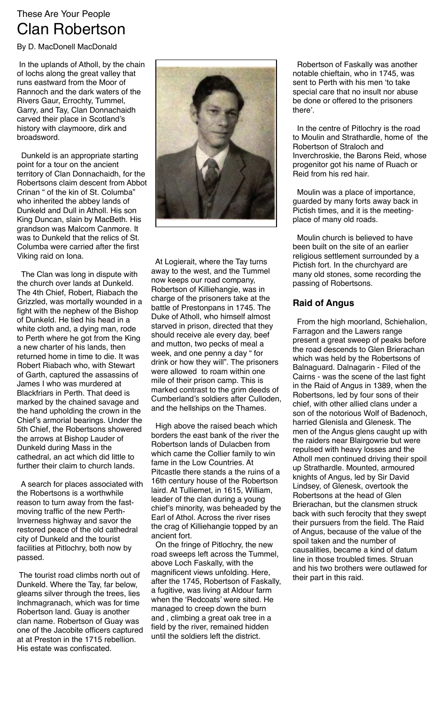## These Are Your People Clan Robertson

By D. MacDonell MacDonald

 In the uplands of Atholl, by the chain of lochs along the great valley that runs eastward from the Moor of Rannoch and the dark waters of the Rivers Gaur, Errochty, Tummel, Garry, and Tay, Clan Donnachaidh carved their place in Scotland's history with claymoore, dirk and broadsword.

 Dunkeld is an appropriate starting point for a tour on the ancient territory of Clan Donnachaidh, for the Robertsons claim descent from Abbot Crinan " of the kin of St. Columba" who inherited the abbey lands of Dunkeld and Dull in Atholl. His son King Duncan, slain by MacBeth. His grandson was Malcom Canmore. It was to Dunkeld that the relics of St. Columba were carried after the first Viking raid on Iona.

 The Clan was long in dispute with the church over lands at Dunkeld. The 4th Chief, Robert, Riabach the Grizzled, was mortally wounded in a fight with the nephew of the Bishop of Dunkeld. He tied his head in a white cloth and, a dying man, rode to Perth where he got from the King a new charter of his lands, then returned home in time to die. It was Robert Riabach who, with Stewart of Garth, captured the assassins of James I who was murdered at Blackfriars in Perth. That deed is marked by the chained savage and the hand upholding the crown in the Chief's armorial bearings. Under the 5th Chief, the Robertsons showered the arrows at Bishop Lauder of Dunkeld during Mass in the cathedral, an act which did little to further their claim to church lands.

 A search for places associated with the Robertsons is a worthwhile reason to turn away from the fastmoving traffic of the new Perth-Inverness highway and savor the restored peace of the old cathedral city of Dunkeld and the tourist facilities at Pitlochry, both now by passed.

 The tourist road climbs north out of Dunkeld. Where the Tay, far below, gleams silver through the trees, lies Inchmagranach, which was for time Robertson land. Guay is another clan name. Robertson of Guay was one of the Jacobite officers captured at at Preston in the 1715 rebellion. His estate was confiscated.



 At Logierait, where the Tay turns away to the west, and the Tummel now keeps our road company, Robertson of Killiehangie, was in charge of the prisoners take at the battle of Prestonpans in 1745. The Duke of Atholl, who himself almost starved in prison, directed that they should receive ale every day, beef and mutton, two pecks of meal a week, and one penny a day " for drink or how they will". The prisoners were allowed to roam within one mile of their prison camp. This is marked contrast to the grim deeds of Cumberland's soldiers after Culloden, and the hellships on the Thames.

 High above the raised beach which borders the east bank of the river the Robertson lands of Dulacben from which came the Collier family to win fame in the Low Countries. At Pitcastle there stands a the ruins of a 16th century house of the Robertson laird. At Tulliemet, in 1615, William, leader of the clan during a young chief's minority, was beheaded by the Earl of Athol. Across the river rises the crag of Killiehangie topped by an ancient fort.

 On the fringe of Pitlochry, the new road sweeps left across the Tummel, above Loch Faskally, with the magnificent views unfolding. Here, after the 1745, Robertson of Faskally, a fugitive, was living at Aldour farm when the 'Redcoats' were sited. He managed to creep down the burn and , climbing a great oak tree in a field by the river, remained hidden until the soldiers left the district.

 Robertson of Faskally was another notable chieftain, who in 1745, was sent to Perth with his men 'to take special care that no insult nor abuse be done or offered to the prisoners there'.

 In the centre of Pitlochry is the road to Moulin and Strathardle, home of the Robertson of Straloch and Inverchroskie, the Barons Reid, whose progenitor got his name of Ruach or Reid from his red hair.

 Moulin was a place of importance, guarded by many forts away back in Pictish times, and it is the meetingplace of many old roads.

 Moulin church is believed to have been built on the site of an earlier religious settlement surrounded by a Pictish fort. In the churchyard are many old stones, some recording the passing of Robertsons.

## **Raid of Angus**

 From the high moorland, Schiehalion, Farragon and the Lawers range present a great sweep of peaks before the road descends to Glen Brierachan which was held by the Robertsons of Balnaguard. Dalnagarin - Filed of the Cairns - was the scene of the last fight in the Raid of Angus in 1389, when the Robertsons, led by four sons of their chief, with other allied clans under a son of the notorious Wolf of Badenoch, harried Glenisla and Glenesk. The men of the Angus glens caught up with the raiders near Blairgowrie but were repulsed with heavy losses and the Atholl men continued driving their spoil up Strathardle. Mounted, armoured knights of Angus, led by Sir David Lindsey, of Glenesk, overtook the Robertsons at the head of Glen Brierachan, but the clansmen struck back with such ferocity that they swept their pursuers from the field. The Raid of Angus, because of the value of the spoil taken and the number of causalities, became a kind of datum line in those troubled times. Struan and his two brothers were outlawed for their part in this raid.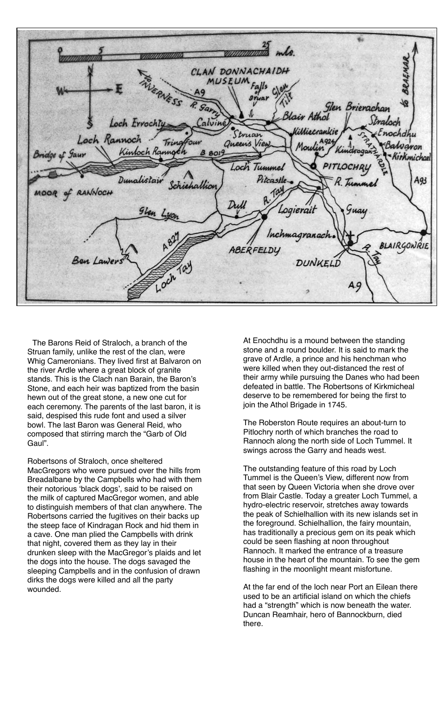CLAN DONNACHAIDH MUSEUM Glen Brierachan Stralock Loch Errochty ittiecrank nochdhu Struan Loch Rannoch Tring **Salvaron** Four Queen's View Kintoch Rannoch Bridge of Gaur  $8.8019$ Kirkmichael Loch Tummel Dunalistain Pitcastle A93 R. Tu of RANNOCH MOOR Dull ogierait Inchmagranach BLAIRGONRIE ABERFELDY Ben Lawer: DUNKELD Loch A.9

 The Barons Reid of Straloch, a branch of the Struan family, unlike the rest of the clan, were Whig Cameronians. They lived first at Balvaron on the river Ardle where a great block of granite stands. This is the Clach nan Barain, the Baron's Stone, and each heir was baptized from the basin hewn out of the great stone, a new one cut for each ceremony. The parents of the last baron, it is said, despised this rude font and used a silver bowl. The last Baron was General Reid, who composed that stirring march the "Garb of Old Gaul".

Robertsons of Straloch, once sheltered MacGregors who were pursued over the hills from Breadalbane by the Campbells who had with them their notorious 'black dogs', said to be raised on the milk of captured MacGregor women, and able to distinguish members of that clan anywhere. The Robertsons carried the fugitives on their backs up the steep face of Kindragan Rock and hid them in a cave. One man plied the Campbells with drink that night, covered them as they lay in their drunken sleep with the MacGregor's plaids and let the dogs into the house. The dogs savaged the sleeping Campbells and in the confusion of drawn dirks the dogs were killed and all the party wounded.

At Enochdhu is a mound between the standing stone and a round boulder. It is said to mark the grave of Ardle, a prince and his henchman who were killed when they out-distanced the rest of their army while pursuing the Danes who had been defeated in battle. The Robertsons of Kirkmicheal deserve to be remembered for being the first to join the Athol Brigade in 1745.

The Roberston Route requires an about-turn to Pitlochry north of which branches the road to Rannoch along the north side of Loch Tummel. It swings across the Garry and heads west.

The outstanding feature of this road by Loch Tummel is the Queen's View, different now from that seen by Queen Victoria when she drove over from Blair Castle. Today a greater Loch Tummel, a hydro-electric reservoir, stretches away towards the peak of Schielhallion with its new islands set in the foreground. Schielhallion, the fairy mountain, has traditionally a precious gem on its peak which could be seen flashing at noon throughout Rannoch. It marked the entrance of a treasure house in the heart of the mountain. To see the gem flashing in the moonlight meant misfortune.

At the far end of the loch near Port an Eilean there used to be an artificial island on which the chiefs had a "strength" which is now beneath the water. Duncan Reamhair, hero of Bannockburn, died there.